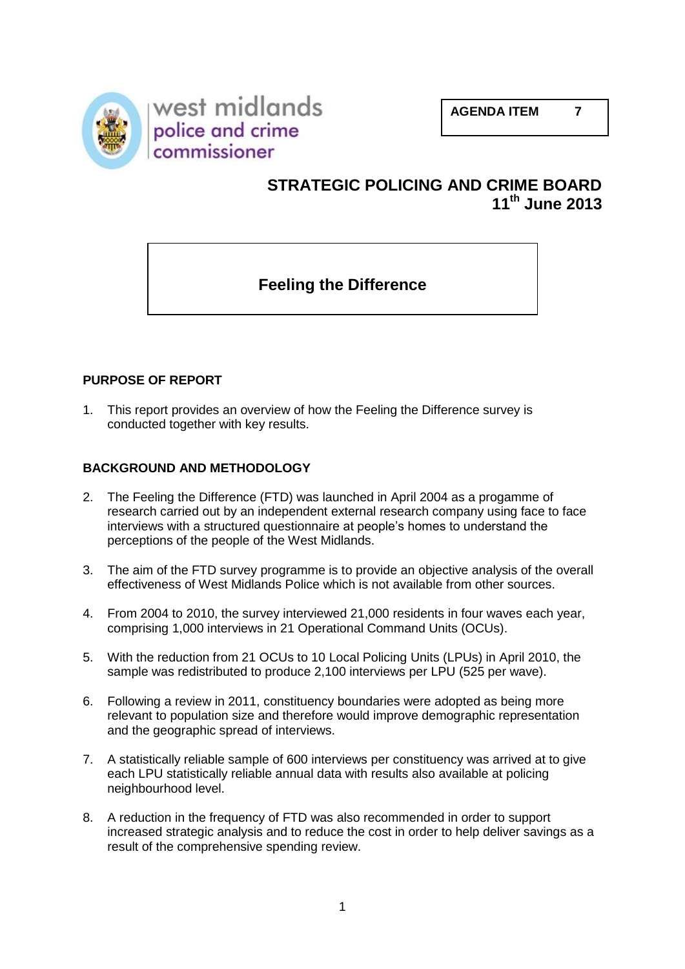



# **STRATEGIC POLICING AND CRIME BOARD 11th June 2013**

# **Feeling the Difference**

# **PURPOSE OF REPORT**

1. This report provides an overview of how the Feeling the Difference survey is conducted together with key results.

## **BACKGROUND AND METHODOLOGY**

- 2. The Feeling the Difference (FTD) was launched in April 2004 as a progamme of research carried out by an independent external research company using face to face interviews with a structured questionnaire at people's homes to understand the perceptions of the people of the West Midlands.
- 3. The aim of the FTD survey programme is to provide an objective analysis of the overall effectiveness of West Midlands Police which is not available from other sources.
- 4. From 2004 to 2010, the survey interviewed 21,000 residents in four waves each year, comprising 1,000 interviews in 21 Operational Command Units (OCUs).
- 5. With the reduction from 21 OCUs to 10 Local Policing Units (LPUs) in April 2010, the sample was redistributed to produce 2,100 interviews per LPU (525 per wave).
- 6. Following a review in 2011, constituency boundaries were adopted as being more relevant to population size and therefore would improve demographic representation and the geographic spread of interviews.
- 7. A statistically reliable sample of 600 interviews per constituency was arrived at to give each LPU statistically reliable annual data with results also available at policing neighbourhood level.
- 8. A reduction in the frequency of FTD was also recommended in order to support increased strategic analysis and to reduce the cost in order to help deliver savings as a result of the comprehensive spending review.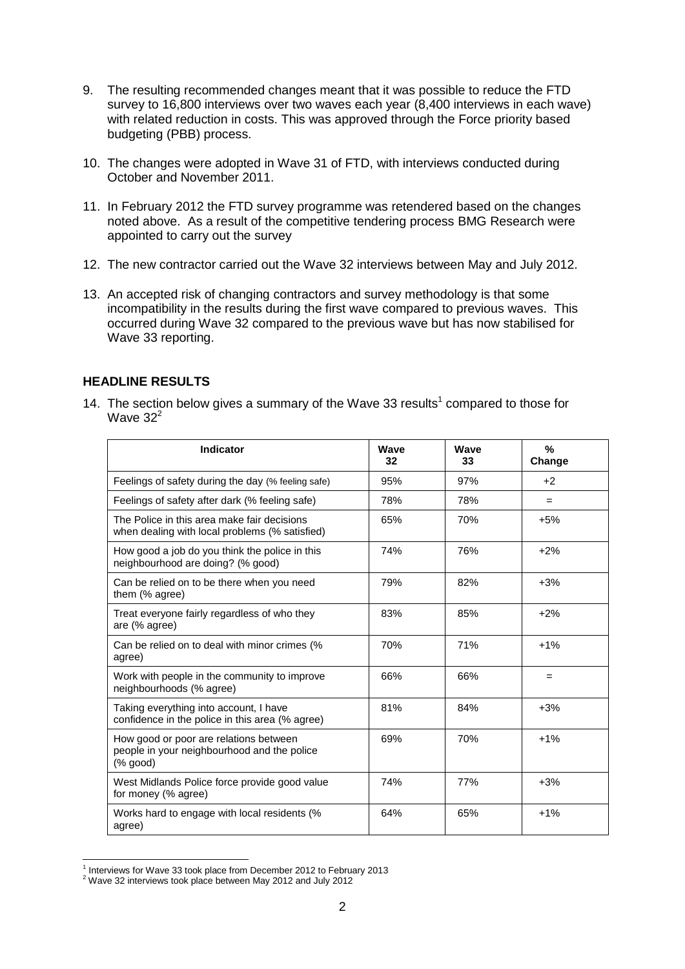- 9. The resulting recommended changes meant that it was possible to reduce the FTD survey to 16,800 interviews over two waves each year (8,400 interviews in each wave) with related reduction in costs. This was approved through the Force priority based budgeting (PBB) process.
- 10. The changes were adopted in Wave 31 of FTD, with interviews conducted during October and November 2011.
- 11. In February 2012 the FTD survey programme was retendered based on the changes noted above. As a result of the competitive tendering process BMG Research were appointed to carry out the survey
- 12. The new contractor carried out the Wave 32 interviews between May and July 2012.
- 13. An accepted risk of changing contractors and survey methodology is that some incompatibility in the results during the first wave compared to previous waves. This occurred during Wave 32 compared to the previous wave but has now stabilised for Wave 33 reporting.

#### **HEADLINE RESULTS**

14. The section below gives a summary of the Wave 33 results<sup>1</sup> compared to those for Wave  $32<sup>2</sup>$ 

| <b>Indicator</b>                                                                                   | Wave<br>32 | Wave<br>33 | $\frac{9}{6}$<br>Change |
|----------------------------------------------------------------------------------------------------|------------|------------|-------------------------|
| Feelings of safety during the day (% feeling safe)                                                 | 95%        | 97%        | $+2$                    |
| Feelings of safety after dark (% feeling safe)                                                     | 78%        | 78%        | $=$                     |
| The Police in this area make fair decisions<br>when dealing with local problems (% satisfied)      | 65%        | 70%        | $+5%$                   |
| How good a job do you think the police in this<br>neighbourhood are doing? (% good)                | 74%        | 76%        | $+2%$                   |
| Can be relied on to be there when you need<br>them (% agree)                                       | 79%        | 82%        | $+3%$                   |
| Treat everyone fairly regardless of who they<br>are (% agree)                                      | 83%        | 85%        | $+2%$                   |
| Can be relied on to deal with minor crimes (%<br>agree)                                            | 70%        | 71%        | $+1%$                   |
| Work with people in the community to improve<br>neighbourhoods (% agree)                           | 66%        | 66%        | $=$                     |
| Taking everything into account, I have<br>confidence in the police in this area (% agree)          | 81%        | 84%        | $+3%$                   |
| How good or poor are relations between<br>people in your neighbourhood and the police<br>$%$ good) | 69%        | 70%        | $+1%$                   |
| West Midlands Police force provide good value<br>for money (% agree)                               | 74%        | 77%        | $+3%$                   |
| Works hard to engage with local residents (%<br>agree)                                             | 64%        | 65%        | $+1%$                   |

 1 Interviews for Wave 33 took place from December 2012 to February 2013

<sup>2</sup> Wave 32 interviews took place between May 2012 and July 2012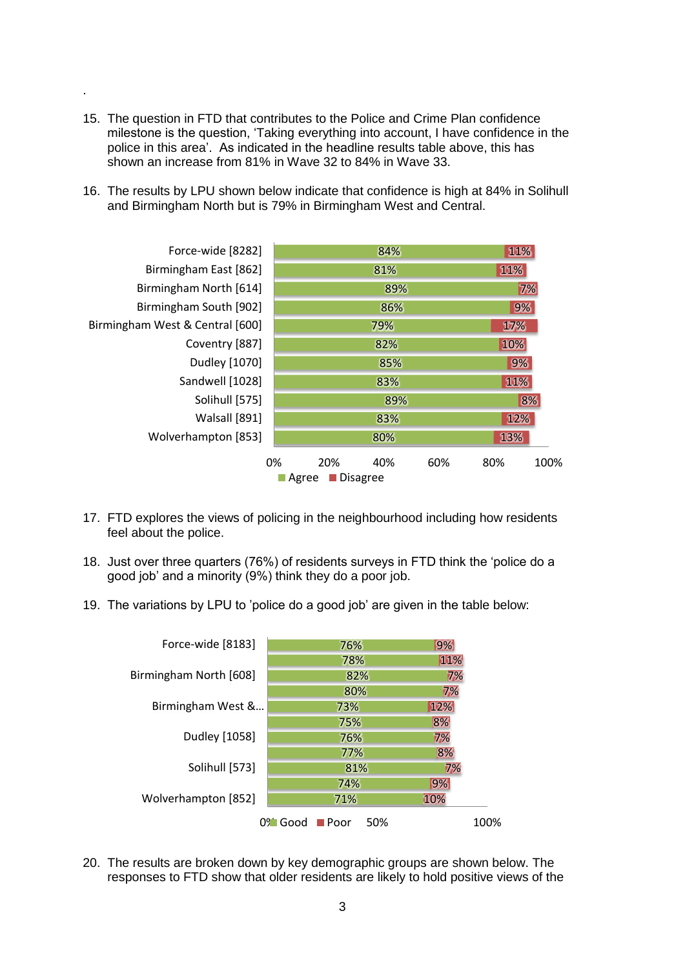15. The question in FTD that contributes to the Police and Crime Plan confidence milestone is the question, 'Taking everything into account, I have confidence in the police in this area'. As indicated in the headline results table above, this has shown an increase from 81% in Wave 32 to 84% in Wave 33.

.

16. The results by LPU shown below indicate that confidence is high at 84% in Solihull and Birmingham North but is 79% in Birmingham West and Central.

| Disagree<br><b>Agree</b>        |           |  |     |     |            |      |  |  |
|---------------------------------|-----------|--|-----|-----|------------|------|--|--|
|                                 | 0%<br>20% |  | 40% | 60% | 80%        | 100% |  |  |
| Wolverhampton [853]             |           |  | 80% |     | 13%        |      |  |  |
| Walsall [891]                   | 83%       |  |     |     | 12%        |      |  |  |
| Solihull [575]                  | 89%       |  |     |     | 8%         |      |  |  |
| Sandwell [1028]                 | 83%       |  |     |     | 11%        |      |  |  |
| Dudley [1070]                   | 85%       |  |     |     | 9%         |      |  |  |
| Coventry [887]                  | 82%       |  |     |     | 10%        |      |  |  |
| Birmingham West & Central [600] | 79%       |  |     |     | <b>17%</b> |      |  |  |
| Birmingham South [902]          | 86%       |  |     |     | 9%         |      |  |  |
| Birmingham North [614]          | 89%       |  |     |     | 7%         |      |  |  |
| Birmingham East [862]           | 81%       |  |     |     | 11%        |      |  |  |
| Force-wide [8282]               | 84%       |  |     |     | 11%        |      |  |  |
|                                 |           |  |     |     |            |      |  |  |

- 17. FTD explores the views of policing in the neighbourhood including how residents feel about the police.
- 18. Just over three quarters (76%) of residents surveys in FTD think the 'police do a good job' and a minority (9%) think they do a poor job.
- 19. The variations by LPU to 'police do a good job' are given in the table below:



20. The results are broken down by key demographic groups are shown below. The responses to FTD show that older residents are likely to hold positive views of the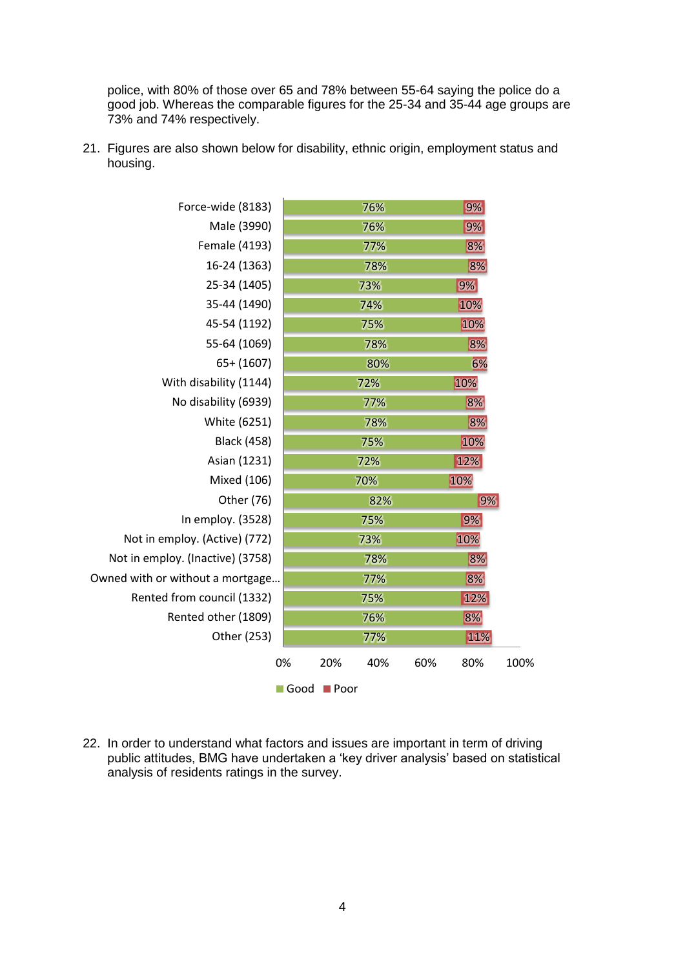police, with 80% of those over 65 and 78% between 55-64 saying the police do a good job. Whereas the comparable figures for the 25-34 and 35-44 age groups are 73% and 74% respectively.

21. Figures are also shown below for disability, ethnic origin, employment status and housing.

| Force-wide (8183)                |      |                     | 76% |     | 9%  |      |
|----------------------------------|------|---------------------|-----|-----|-----|------|
| Male (3990)                      |      |                     | 76% |     | 9%  |      |
| Female (4193)                    |      |                     | 77% |     | 8%  |      |
| 16-24 (1363)                     |      |                     | 78% |     | 8%  |      |
| 25-34 (1405)                     |      |                     | 73% |     | 9%  |      |
| 35-44 (1490)                     |      |                     | 74% |     | 10% |      |
| 45-54 (1192)                     |      |                     | 75% |     | 10% |      |
| 55-64 (1069)                     |      |                     | 78% |     | 8%  |      |
| $65+ (1607)$                     |      |                     | 80% |     | 6%  |      |
| With disability (1144)           |      |                     | 72% |     | 10% |      |
| No disability (6939)             |      |                     | 77% |     | 8%  |      |
| White (6251)                     |      |                     | 78% |     | 8%  |      |
| <b>Black (458)</b>               |      |                     | 75% |     | 10% |      |
| Asian (1231)                     |      |                     | 72% |     | 12% |      |
| Mixed (106)                      |      |                     | 70% |     | 10% |      |
| Other (76)                       |      |                     | 82% |     | 9%  |      |
| In employ. (3528)                |      |                     | 75% |     | 9%  |      |
| Not in employ. (Active) (772)    |      |                     | 73% |     | 10% |      |
| Not in employ. (Inactive) (3758) |      |                     | 78% |     | 8%  |      |
| Owned with or without a mortgage |      |                     | 77% |     | 8%  |      |
| Rented from council (1332)       |      |                     | 75% |     | 12% |      |
| Rented other (1809)              |      |                     | 76% |     | 8%  |      |
| Other (253)                      |      |                     | 77% |     | 11% |      |
|                                  | 0%   | 20%                 | 40% | 60% | 80% | 100% |
|                                  | Good | $\blacksquare$ Poor |     |     |     |      |

22. In order to understand what factors and issues are important in term of driving public attitudes, BMG have undertaken a 'key driver analysis' based on statistical analysis of residents ratings in the survey.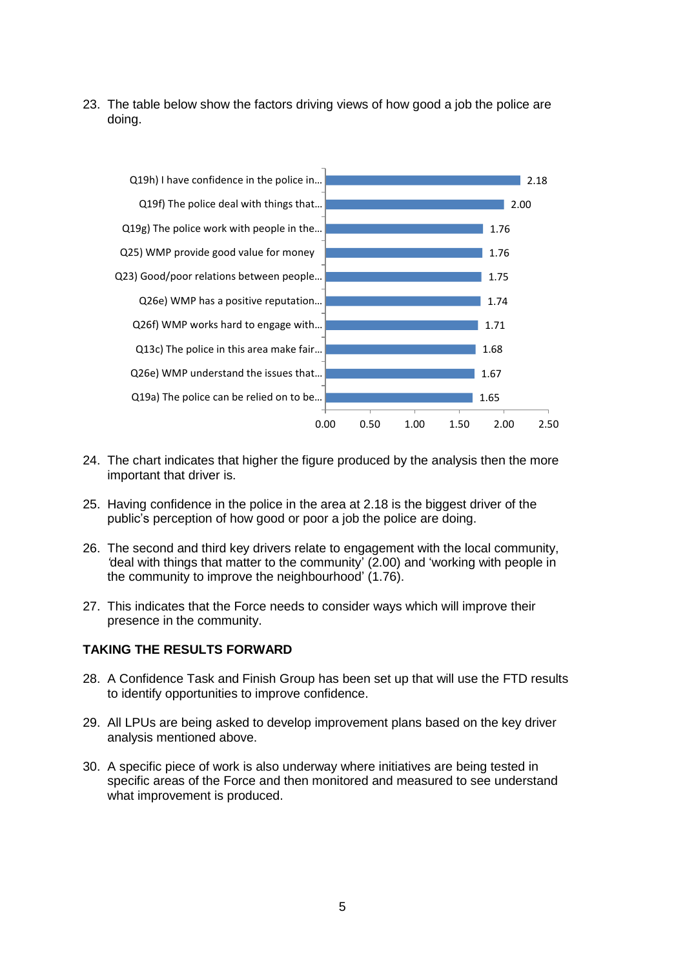23. The table below show the factors driving views of how good a job the police are doing.



- 24. The chart indicates that higher the figure produced by the analysis then the more important that driver is.
- 25. Having confidence in the police in the area at 2.18 is the biggest driver of the public's perception of how good or poor a job the police are doing.
- 26. The second and third key drivers relate to engagement with the local community, *'*deal with things that matter to the community' (2.00) and 'working with people in the community to improve the neighbourhood' (1.76).
- 27. This indicates that the Force needs to consider ways which will improve their presence in the community.

#### **TAKING THE RESULTS FORWARD**

- 28. A Confidence Task and Finish Group has been set up that will use the FTD results to identify opportunities to improve confidence.
- 29. All LPUs are being asked to develop improvement plans based on the key driver analysis mentioned above.
- 30. A specific piece of work is also underway where initiatives are being tested in specific areas of the Force and then monitored and measured to see understand what improvement is produced.